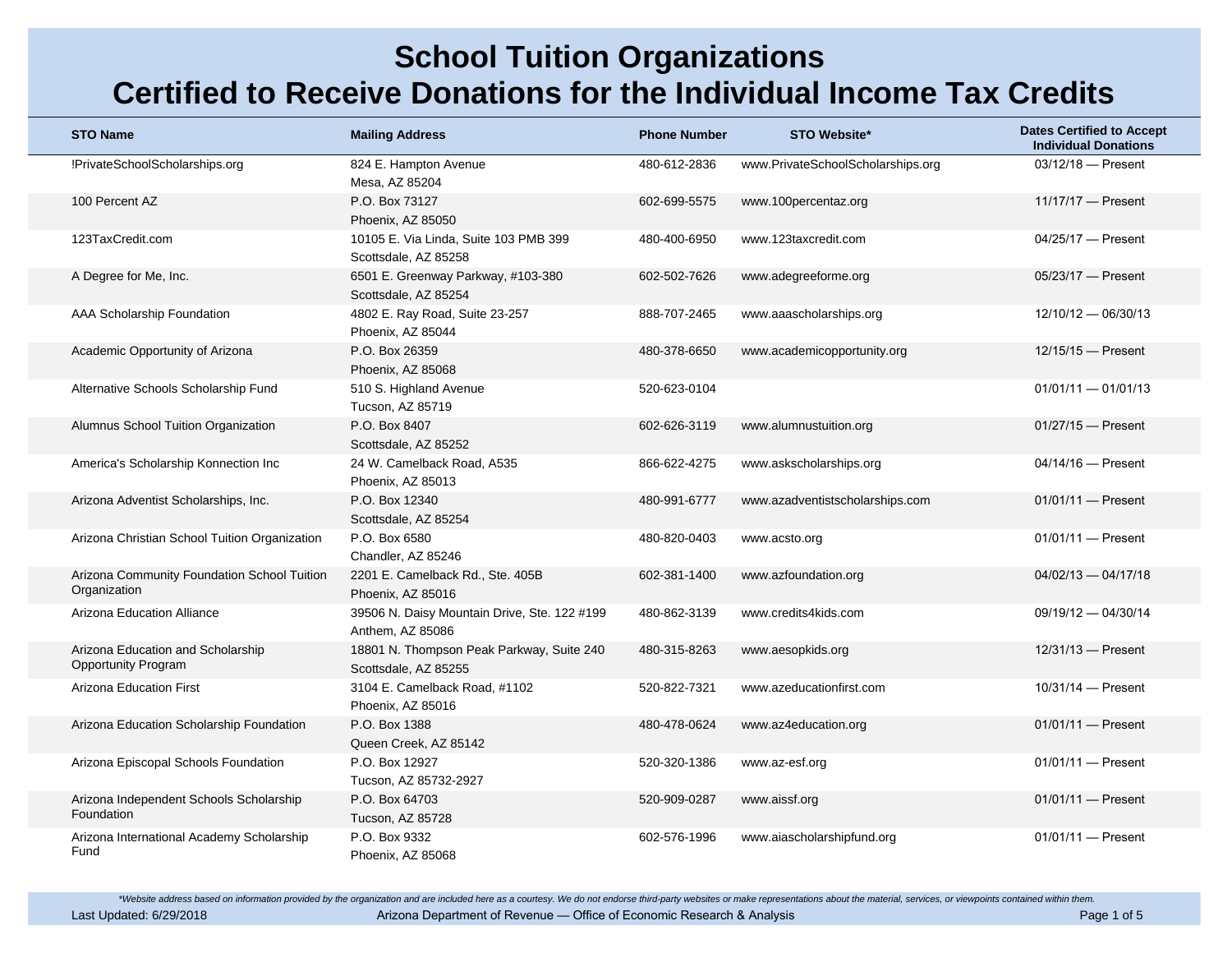| <b>STO Name</b>                                                 | <b>Mailing Address</b>                                            | <b>Phone Number</b> | <b>STO Website*</b>               | <b>Dates Certified to Accept</b><br><b>Individual Donations</b> |
|-----------------------------------------------------------------|-------------------------------------------------------------------|---------------------|-----------------------------------|-----------------------------------------------------------------|
| !PrivateSchoolScholarships.org                                  | 824 E. Hampton Avenue<br>Mesa, AZ 85204                           | 480-612-2836        | www.PrivateSchoolScholarships.org | $03/12/18$ - Present                                            |
| 100 Percent AZ                                                  | P.O. Box 73127<br>Phoenix, AZ 85050                               | 602-699-5575        | www.100percentaz.org              | $11/17/17$ - Present                                            |
| 123TaxCredit.com                                                | 10105 E. Via Linda, Suite 103 PMB 399<br>Scottsdale, AZ 85258     | 480-400-6950        | www.123taxcredit.com              | 04/25/17 - Present                                              |
| A Degree for Me, Inc.                                           | 6501 E. Greenway Parkway, #103-380<br>Scottsdale, AZ 85254        | 602-502-7626        | www.adegreeforme.org              | 05/23/17 - Present                                              |
| AAA Scholarship Foundation                                      | 4802 E. Ray Road, Suite 23-257<br>Phoenix, AZ 85044               | 888-707-2465        | www.aaascholarships.org           | 12/10/12 - 06/30/13                                             |
| Academic Opportunity of Arizona                                 | P.O. Box 26359<br>Phoenix, AZ 85068                               | 480-378-6650        | www.academicopportunity.org       | $12/15/15$ - Present                                            |
| Alternative Schools Scholarship Fund                            | 510 S. Highland Avenue<br>Tucson, AZ 85719                        | 520-623-0104        |                                   | $01/01/11 - 01/01/13$                                           |
| Alumnus School Tuition Organization                             | P.O. Box 8407<br>Scottsdale, AZ 85252                             | 602-626-3119        | www.alumnustuition.org            | $01/27/15$ - Present                                            |
| America's Scholarship Konnection Inc                            | 24 W. Camelback Road, A535<br>Phoenix, AZ 85013                   | 866-622-4275        | www.askscholarships.org           | $04/14/16$ - Present                                            |
| Arizona Adventist Scholarships, Inc.                            | P.O. Box 12340<br>Scottsdale, AZ 85254                            | 480-991-6777        | www.azadventistscholarships.com   | $01/01/11$ - Present                                            |
| Arizona Christian School Tuition Organization                   | P.O. Box 6580<br>Chandler, AZ 85246                               | 480-820-0403        | www.acsto.org                     | $01/01/11$ - Present                                            |
| Arizona Community Foundation School Tuition<br>Organization     | 2201 E. Camelback Rd., Ste. 405B<br>Phoenix, AZ 85016             | 602-381-1400        | www.azfoundation.org              | $04/02/13 - 04/17/18$                                           |
| Arizona Education Alliance                                      | 39506 N. Daisy Mountain Drive, Ste. 122 #199<br>Anthem, AZ 85086  | 480-862-3139        | www.credits4kids.com              | $09/19/12 - 04/30/14$                                           |
| Arizona Education and Scholarship<br><b>Opportunity Program</b> | 18801 N. Thompson Peak Parkway, Suite 240<br>Scottsdale, AZ 85255 | 480-315-8263        | www.aesopkids.org                 | $12/31/13$ - Present                                            |
| <b>Arizona Education First</b>                                  | 3104 E. Camelback Road, #1102<br>Phoenix, AZ 85016                | 520-822-7321        | www.azeducationfirst.com          | $10/31/14$ - Present                                            |
| Arizona Education Scholarship Foundation                        | P.O. Box 1388<br>Queen Creek, AZ 85142                            | 480-478-0624        | www.az4education.org              | $01/01/11$ - Present                                            |
| Arizona Episcopal Schools Foundation                            | P.O. Box 12927<br>Tucson, AZ 85732-2927                           | 520-320-1386        | www.az-esf.org                    | $01/01/11$ - Present                                            |
| Arizona Independent Schools Scholarship<br>Foundation           | P.O. Box 64703<br><b>Tucson, AZ 85728</b>                         | 520-909-0287        | www.aissf.org                     | $01/01/11$ - Present                                            |
| Arizona International Academy Scholarship<br>Fund               | P.O. Box 9332<br>Phoenix, AZ 85068                                | 602-576-1996        | www.aiascholarshipfund.org        | $01/01/11$ - Present                                            |

\*Website address based on information provided by the organization and are included here as a courtesy. We do not endorse third-party websites or make representations about the material, services, or viewpoints contained w Last Updated: 6/29/2018 **Arizona Department of Revenue — Office of Economic Research & Analysis** Page 1 of 5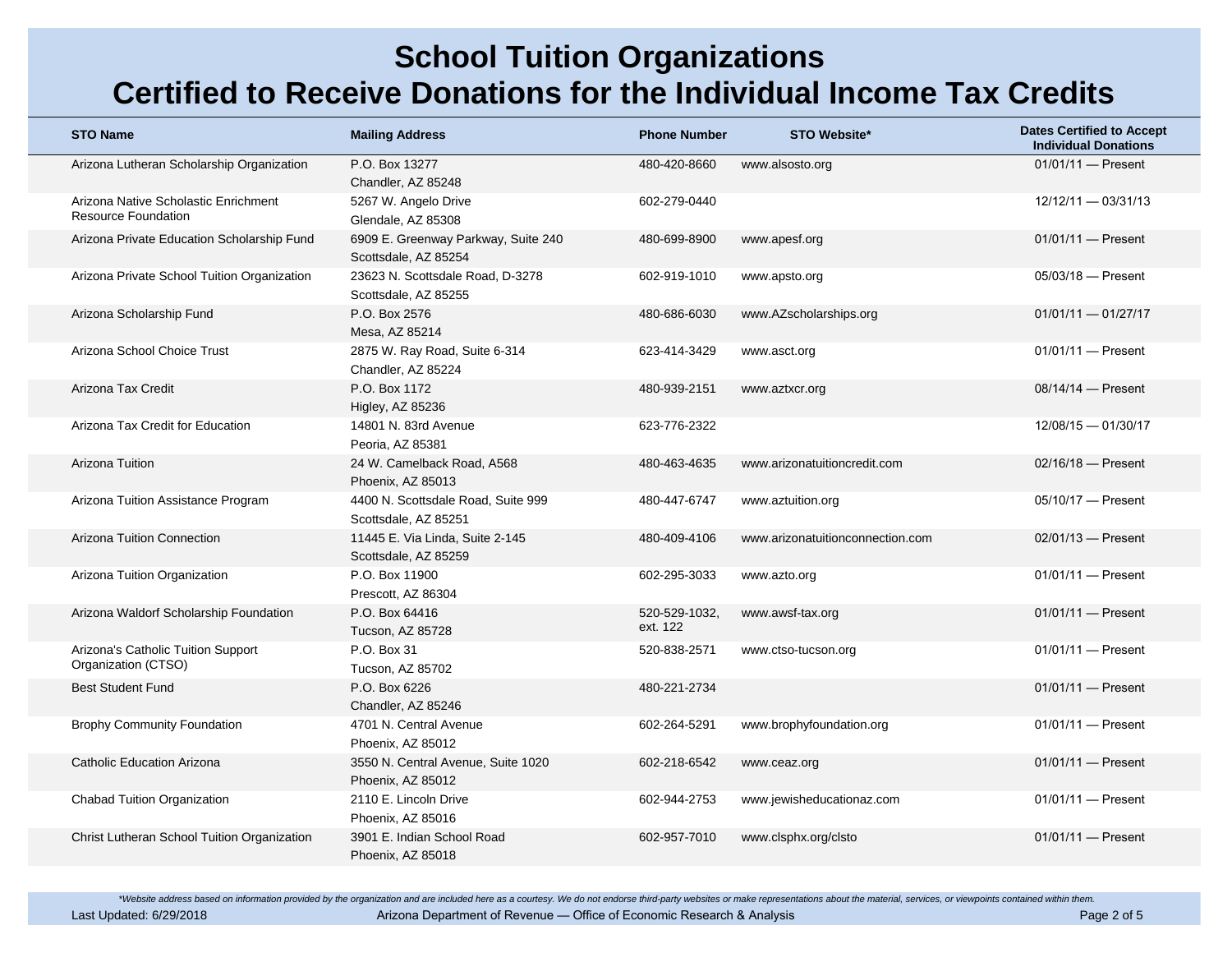| <b>STO Name</b>                                                    | <b>Mailing Address</b>                                      | <b>Phone Number</b>       | <b>STO Website*</b>              | <b>Dates Certified to Accept</b><br><b>Individual Donations</b> |
|--------------------------------------------------------------------|-------------------------------------------------------------|---------------------------|----------------------------------|-----------------------------------------------------------------|
| Arizona Lutheran Scholarship Organization                          | P.O. Box 13277<br>Chandler, AZ 85248                        | 480-420-8660              | www.alsosto.org                  | 01/01/11 - Present                                              |
| Arizona Native Scholastic Enrichment<br><b>Resource Foundation</b> | 5267 W. Angelo Drive<br>Glendale, AZ 85308                  | 602-279-0440              |                                  | $12/12/11 - 03/31/13$                                           |
| Arizona Private Education Scholarship Fund                         | 6909 E. Greenway Parkway, Suite 240<br>Scottsdale, AZ 85254 | 480-699-8900              | www.apesf.org                    | $01/01/11$ - Present                                            |
| Arizona Private School Tuition Organization                        | 23623 N. Scottsdale Road, D-3278<br>Scottsdale, AZ 85255    | 602-919-1010              | www.apsto.org                    | $05/03/18$ - Present                                            |
| Arizona Scholarship Fund                                           | P.O. Box 2576<br>Mesa, AZ 85214                             | 480-686-6030              | www.AZscholarships.org           | $01/01/11 - 01/27/17$                                           |
| Arizona School Choice Trust                                        | 2875 W. Ray Road, Suite 6-314<br>Chandler, AZ 85224         | 623-414-3429              | www.asct.org                     | $01/01/11$ - Present                                            |
| Arizona Tax Credit                                                 | P.O. Box 1172<br>Higley, AZ 85236                           | 480-939-2151              | www.aztxcr.org                   | 08/14/14 - Present                                              |
| Arizona Tax Credit for Education                                   | 14801 N. 83rd Avenue<br>Peoria, AZ 85381                    | 623-776-2322              |                                  | $12/08/15 - 01/30/17$                                           |
| Arizona Tuition                                                    | 24 W. Camelback Road, A568<br>Phoenix, AZ 85013             | 480-463-4635              | www.arizonatuitioncredit.com     | $02/16/18$ - Present                                            |
| Arizona Tuition Assistance Program                                 | 4400 N. Scottsdale Road, Suite 999<br>Scottsdale, AZ 85251  | 480-447-6747              | www.aztuition.org                | $05/10/17$ - Present                                            |
| <b>Arizona Tuition Connection</b>                                  | 11445 E. Via Linda, Suite 2-145<br>Scottsdale, AZ 85259     | 480-409-4106              | www.arizonatuitionconnection.com | $02/01/13$ - Present                                            |
| Arizona Tuition Organization                                       | P.O. Box 11900<br>Prescott, AZ 86304                        | 602-295-3033              | www.azto.org                     | $01/01/11$ - Present                                            |
| Arizona Waldorf Scholarship Foundation                             | P.O. Box 64416<br>Tucson, AZ 85728                          | 520-529-1032.<br>ext. 122 | www.awsf-tax.org                 | $01/01/11$ - Present                                            |
| Arizona's Catholic Tuition Support<br>Organization (CTSO)          | P.O. Box 31<br>Tucson, AZ 85702                             | 520-838-2571              | www.ctso-tucson.org              | $01/01/11$ - Present                                            |
| <b>Best Student Fund</b>                                           | P.O. Box 6226<br>Chandler, AZ 85246                         | 480-221-2734              |                                  | $01/01/11$ - Present                                            |
| <b>Brophy Community Foundation</b>                                 | 4701 N. Central Avenue<br>Phoenix. AZ 85012                 | 602-264-5291              | www.brophyfoundation.org         | $01/01/11$ - Present                                            |
| Catholic Education Arizona                                         | 3550 N. Central Avenue, Suite 1020<br>Phoenix, AZ 85012     | 602-218-6542              | www.ceaz.org                     | $01/01/11$ - Present                                            |
| Chabad Tuition Organization                                        | 2110 E. Lincoln Drive<br>Phoenix, AZ 85016                  | 602-944-2753              | www.jewisheducationaz.com        | $01/01/11$ - Present                                            |
| Christ Lutheran School Tuition Organization                        | 3901 E. Indian School Road<br>Phoenix, AZ 85018             | 602-957-7010              | www.clsphx.org/clsto             | $01/01/11$ - Present                                            |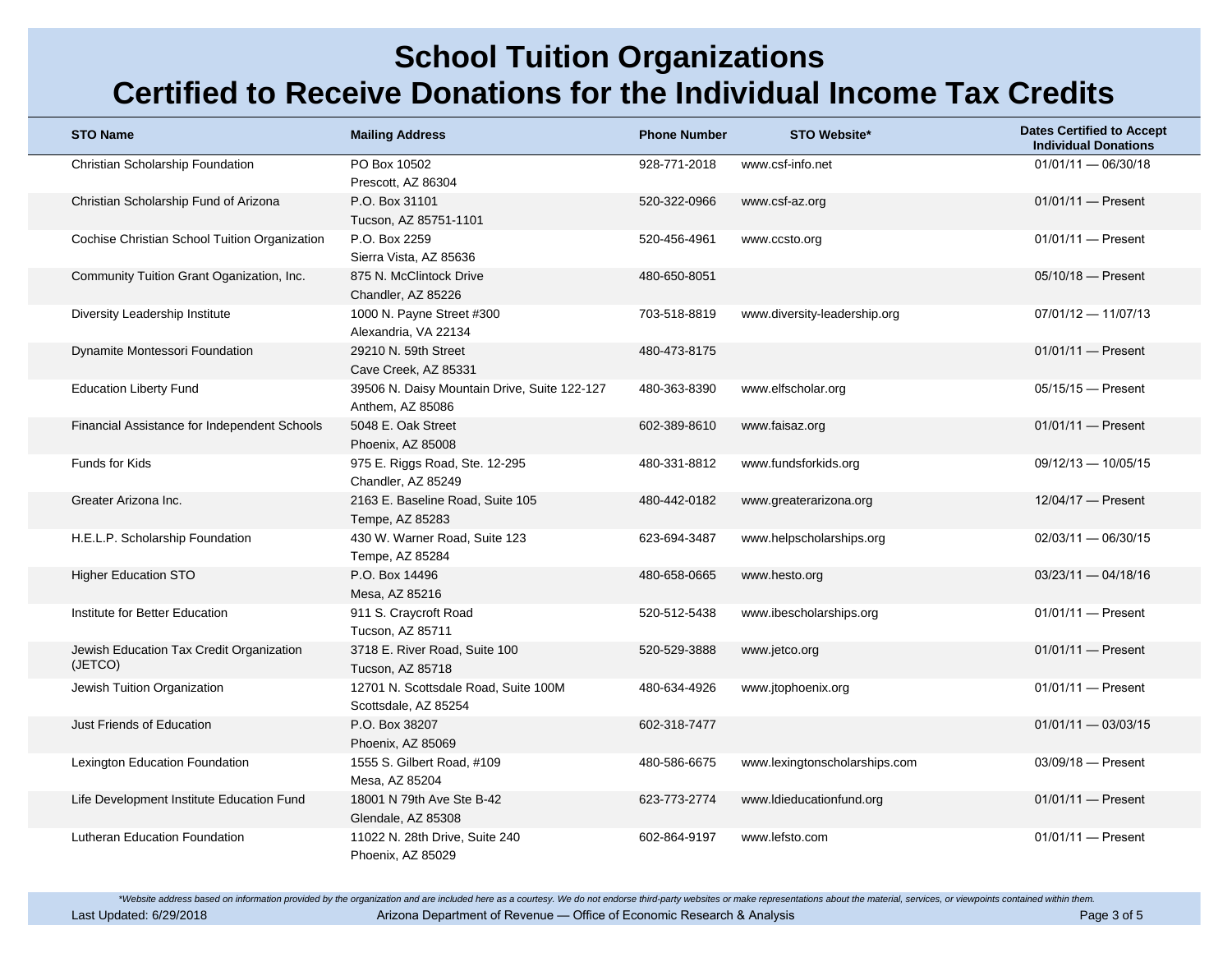| <b>STO Name</b>                                     | <b>Mailing Address</b>                                           | <b>Phone Number</b> | <b>STO Website*</b>           | <b>Dates Certified to Accept</b><br><b>Individual Donations</b> |
|-----------------------------------------------------|------------------------------------------------------------------|---------------------|-------------------------------|-----------------------------------------------------------------|
| Christian Scholarship Foundation                    | PO Box 10502<br>Prescott, AZ 86304                               | 928-771-2018        | www.csf-info.net              | $01/01/11 - 06/30/18$                                           |
| Christian Scholarship Fund of Arizona               | P.O. Box 31101<br>Tucson, AZ 85751-1101                          | 520-322-0966        | www.csf-az.org                | $01/01/11$ - Present                                            |
| Cochise Christian School Tuition Organization       | P.O. Box 2259<br>Sierra Vista, AZ 85636                          | 520-456-4961        | www.ccsto.org                 | $01/01/11$ - Present                                            |
| Community Tuition Grant Oganization, Inc.           | 875 N. McClintock Drive<br>Chandler, AZ 85226                    | 480-650-8051        |                               | $05/10/18$ - Present                                            |
| Diversity Leadership Institute                      | 1000 N. Payne Street #300<br>Alexandria, VA 22134                | 703-518-8819        | www.diversity-leadership.org  | $07/01/12 - 11/07/13$                                           |
| Dynamite Montessori Foundation                      | 29210 N. 59th Street<br>Cave Creek, AZ 85331                     | 480-473-8175        |                               | $01/01/11$ - Present                                            |
| <b>Education Liberty Fund</b>                       | 39506 N. Daisy Mountain Drive, Suite 122-127<br>Anthem, AZ 85086 | 480-363-8390        | www.elfscholar.org            | $05/15/15$ - Present                                            |
| Financial Assistance for Independent Schools        | 5048 E. Oak Street<br>Phoenix, AZ 85008                          | 602-389-8610        | www.faisaz.org                | $01/01/11$ - Present                                            |
| <b>Funds for Kids</b>                               | 975 E. Riggs Road, Ste. 12-295<br>Chandler, AZ 85249             | 480-331-8812        | www.fundsforkids.org          | $09/12/13 - 10/05/15$                                           |
| Greater Arizona Inc.                                | 2163 E. Baseline Road, Suite 105<br>Tempe, AZ 85283              | 480-442-0182        | www.greaterarizona.org        | $12/04/17$ - Present                                            |
| H.E.L.P. Scholarship Foundation                     | 430 W. Warner Road, Suite 123<br>Tempe, AZ 85284                 | 623-694-3487        | www.helpscholarships.org      | $02/03/11 - 06/30/15$                                           |
| <b>Higher Education STO</b>                         | P.O. Box 14496<br>Mesa, AZ 85216                                 | 480-658-0665        | www.hesto.org                 | $03/23/11 - 04/18/16$                                           |
| Institute for Better Education                      | 911 S. Craycroft Road<br>Tucson, AZ 85711                        | 520-512-5438        | www.ibescholarships.org       | $01/01/11$ - Present                                            |
| Jewish Education Tax Credit Organization<br>(JETCO) | 3718 E. River Road, Suite 100<br>Tucson, AZ 85718                | 520-529-3888        | www.jetco.org                 | $01/01/11$ - Present                                            |
| Jewish Tuition Organization                         | 12701 N. Scottsdale Road, Suite 100M<br>Scottsdale, AZ 85254     | 480-634-4926        | www.jtophoenix.org            | $01/01/11$ - Present                                            |
| Just Friends of Education                           | P.O. Box 38207<br>Phoenix, AZ 85069                              | 602-318-7477        |                               | $01/01/11 - 03/03/15$                                           |
| Lexington Education Foundation                      | 1555 S. Gilbert Road, #109<br>Mesa, AZ 85204                     | 480-586-6675        | www.lexingtonscholarships.com | $03/09/18$ - Present                                            |
| Life Development Institute Education Fund           | 18001 N 79th Ave Ste B-42<br>Glendale, AZ 85308                  | 623-773-2774        | www.Idieducationfund.org      | $01/01/11$ - Present                                            |
| Lutheran Education Foundation                       | 11022 N. 28th Drive, Suite 240<br>Phoenix, AZ 85029              | 602-864-9197        | www.lefsto.com                | $01/01/11$ - Present                                            |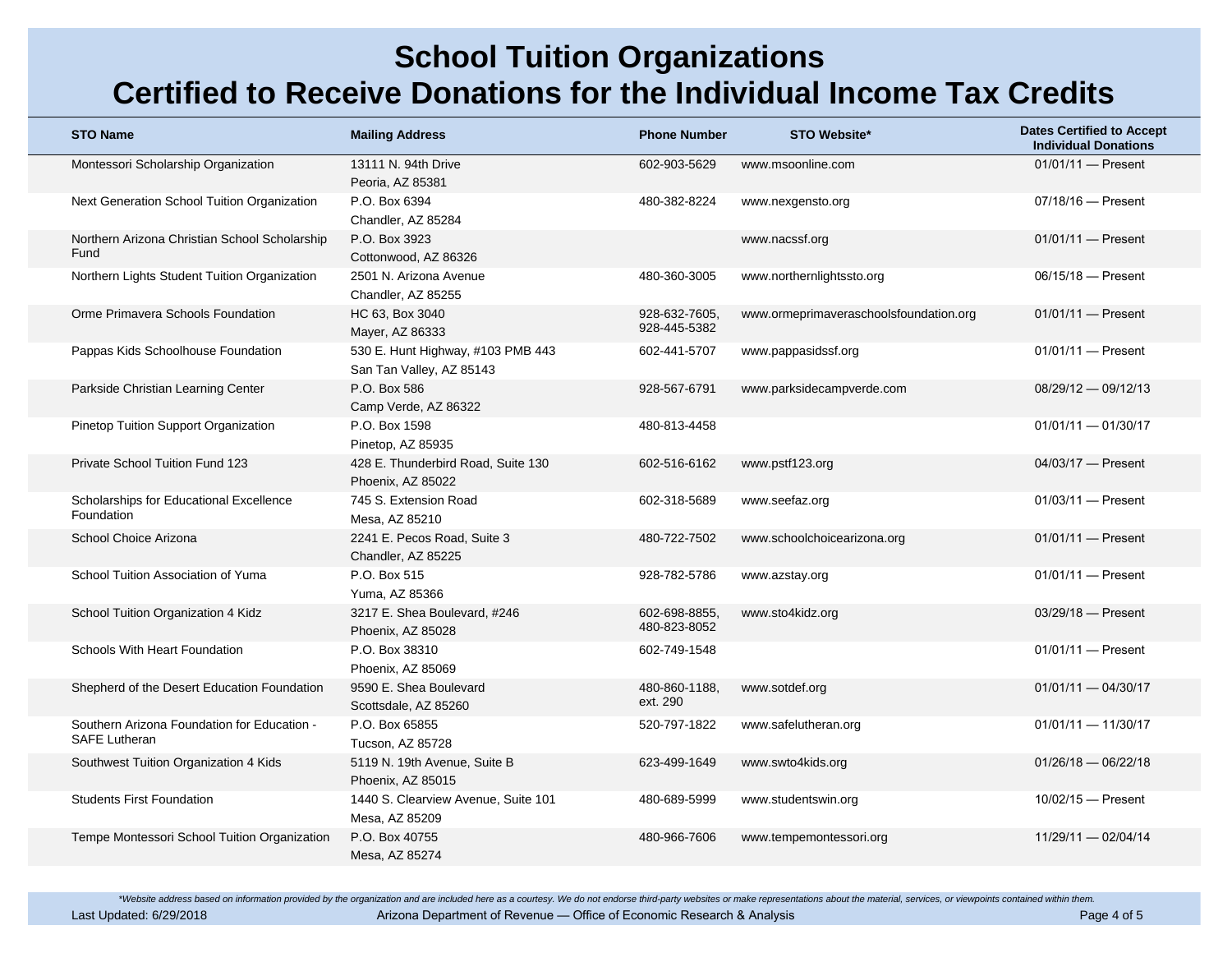| <b>STO Name</b>                                                     | <b>Mailing Address</b>                                        | <b>Phone Number</b>           | <b>STO Website*</b>                    | <b>Dates Certified to Accept</b><br><b>Individual Donations</b> |
|---------------------------------------------------------------------|---------------------------------------------------------------|-------------------------------|----------------------------------------|-----------------------------------------------------------------|
| Montessori Scholarship Organization                                 | 13111 N. 94th Drive<br>Peoria, AZ 85381                       | 602-903-5629                  | www.msoonline.com                      | $01/01/11$ - Present                                            |
| Next Generation School Tuition Organization                         | P.O. Box 6394<br>Chandler, AZ 85284                           | 480-382-8224                  | www.nexgensto.org                      | $07/18/16$ - Present                                            |
| Northern Arizona Christian School Scholarship<br>Fund               | P.O. Box 3923<br>Cottonwood, AZ 86326                         |                               | www.nacssf.org                         | $01/01/11$ - Present                                            |
| Northern Lights Student Tuition Organization                        | 2501 N. Arizona Avenue<br>Chandler, AZ 85255                  | 480-360-3005                  | www.northernlightssto.org              | $06/15/18$ - Present                                            |
| Orme Primavera Schools Foundation                                   | HC 63, Box 3040<br>Mayer, AZ 86333                            | 928-632-7605.<br>928-445-5382 | www.ormeprimaveraschoolsfoundation.org | $01/01/11$ - Present                                            |
| Pappas Kids Schoolhouse Foundation                                  | 530 E. Hunt Highway, #103 PMB 443<br>San Tan Valley, AZ 85143 | 602-441-5707                  | www.pappasidssf.org                    | $01/01/11$ - Present                                            |
| Parkside Christian Learning Center                                  | P.O. Box 586<br>Camp Verde, AZ 86322                          | 928-567-6791                  | www.parksidecampverde.com              | 08/29/12 - 09/12/13                                             |
| <b>Pinetop Tuition Support Organization</b>                         | P.O. Box 1598<br>Pinetop, AZ 85935                            | 480-813-4458                  |                                        | $01/01/11 - 01/30/17$                                           |
| <b>Private School Tuition Fund 123</b>                              | 428 E. Thunderbird Road, Suite 130<br>Phoenix, AZ 85022       | 602-516-6162                  | www.pstf123.org                        | 04/03/17 - Present                                              |
| Scholarships for Educational Excellence<br>Foundation               | 745 S. Extension Road<br>Mesa, AZ 85210                       | 602-318-5689                  | www.seefaz.org                         | $01/03/11$ - Present                                            |
| School Choice Arizona                                               | 2241 E. Pecos Road, Suite 3<br>Chandler, AZ 85225             | 480-722-7502                  | www.schoolchoicearizona.org            | $01/01/11$ - Present                                            |
| School Tuition Association of Yuma                                  | P.O. Box 515<br>Yuma, AZ 85366                                | 928-782-5786                  | www.azstay.org                         | $01/01/11$ - Present                                            |
| School Tuition Organization 4 Kidz                                  | 3217 E. Shea Boulevard, #246<br>Phoenix, AZ 85028             | 602-698-8855.<br>480-823-8052 | www.sto4kidz.org                       | 03/29/18 - Present                                              |
| Schools With Heart Foundation                                       | P.O. Box 38310<br>Phoenix, AZ 85069                           | 602-749-1548                  |                                        | $01/01/11$ - Present                                            |
| Shepherd of the Desert Education Foundation                         | 9590 E. Shea Boulevard<br>Scottsdale, AZ 85260                | 480-860-1188,<br>ext. 290     | www.sotdef.org                         | $01/01/11 - 04/30/17$                                           |
| Southern Arizona Foundation for Education -<br><b>SAFE Lutheran</b> | P.O. Box 65855<br>Tucson, AZ 85728                            | 520-797-1822                  | www.safelutheran.org                   | $01/01/11 - 11/30/17$                                           |
| Southwest Tuition Organization 4 Kids                               | 5119 N. 19th Avenue, Suite B<br>Phoenix, AZ 85015             | 623-499-1649                  | www.swto4kids.org                      | $01/26/18 - 06/22/18$                                           |
| <b>Students First Foundation</b>                                    | 1440 S. Clearview Avenue, Suite 101<br>Mesa, AZ 85209         | 480-689-5999                  | www.studentswin.org                    | $10/02/15$ - Present                                            |
| Tempe Montessori School Tuition Organization                        | P.O. Box 40755<br>Mesa, AZ 85274                              | 480-966-7606                  | www.tempemontessori.org                | 11/29/11 - 02/04/14                                             |

\*Website address based on information provided by the organization and are included here as a courtesy. We do not endorse third-party websites or make representations about the material, services, or viewpoints contained w Last Updated: 6/29/2018 **Arizona Department of Revenue — Office of Economic Research & Analysis** Page 4 of 5